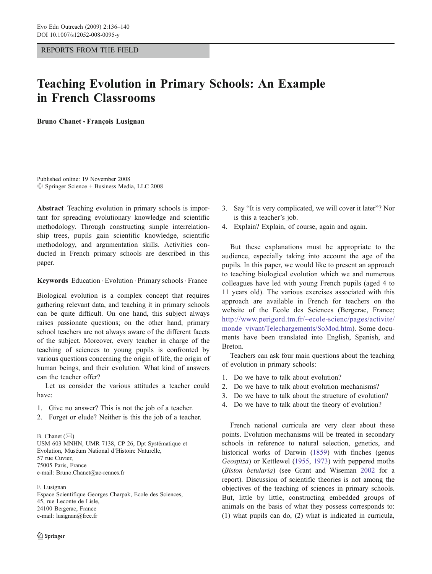## REPORTS FROM THE FIELD

# Teaching Evolution in Primary Schools: An Example in French Classrooms

Bruno Chanet *&* François Lusignan

Published online: 19 November 2008  $\circ$  Springer Science + Business Media, LLC 2008

Abstract Teaching evolution in primary schools is important for spreading evolutionary knowledge and scientific methodology. Through constructing simple interrelationship trees, pupils gain scientific knowledge, scientific methodology, and argumentation skills. Activities conducted in French primary schools are described in this paper.

Keywords Education . Evolution . Primary schools . France

Biological evolution is a complex concept that requires gathering relevant data, and teaching it in primary schools can be quite difficult. On one hand, this subject always raises passionate questions; on the other hand, primary school teachers are not always aware of the different facets of the subject. Moreover, every teacher in charge of the teaching of sciences to young pupils is confronted by various questions concerning the origin of life, the origin of human beings, and their evolution. What kind of answers can the teacher offer?

Let us consider the various attitudes a teacher could have:

- 1. Give no answer? This is not the job of a teacher.
- 2. Forget or elude? Neither is this the job of a teacher.

B. Chanet  $(\boxtimes)$ 

USM 603 MNHN, UMR 7138, CP 26, Dpt Systématique et Evolution, Muséum National d'Histoire Naturelle, 57 rue Cuvier, 75005 Paris, France e-mail: Bruno.Chanet@ac-rennes.fr

F. Lusignan Espace Scientifique Georges Charpak, Ecole des Sciences, 45, rue Leconte de Lisle, 24100 Bergerac, France e-mail: lusignan@free.fr

- 3. Say "It is very complicated, we will cover it later"? Nor is this a teacher's job.
- 4. Explain? Explain, of course, again and again.

But these explanations must be appropriate to the audience, especially taking into account the age of the pupils. In this paper, we would like to present an approach to teaching biological evolution which we and numerous colleagues have led with young French pupils (aged 4 to 11 years old). The various exercises associated with this approach are available in French for teachers on the website of the Ecole des Sciences (Bergerac, France; [http://www.perigord.tm.fr/~ecole-scienc/pages/activite/](http://www.perigord.tm.fr/~ecole-scienc/pages/activite/monde_vivant/Telechargements/SoMod.htm) [monde\\_vivant/Telechargements/SoMod.htm\)](http://www.perigord.tm.fr/~ecole-scienc/pages/activite/monde_vivant/Telechargements/SoMod.htm). Some documents have been translated into English, Spanish, and Breton.

Teachers can ask four main questions about the teaching of evolution in primary schools:

- 1. Do we have to talk about evolution?
- 2. Do we have to talk about evolution mechanisms?
- 3. Do we have to talk about the structure of evolution?
- 4. Do we have to talk about the theory of evolution?

French national curricula are very clear about these points. Evolution mechanisms will be treated in secondary schools in reference to natural selection, genetics, and historical works of Darwin [\(1859](#page-4-0)) with finches (genus Geospiza) or Kettlewel ([1955](#page-4-0), [1973](#page-4-0)) with peppered moths (Biston betularia) (see Grant and Wiseman [2002](#page-4-0) for a report). Discussion of scientific theories is not among the objectives of the teaching of sciences in primary schools. But, little by little, constructing embedded groups of animals on the basis of what they possess corresponds to: (1) what pupils can do, (2) what is indicated in curricula,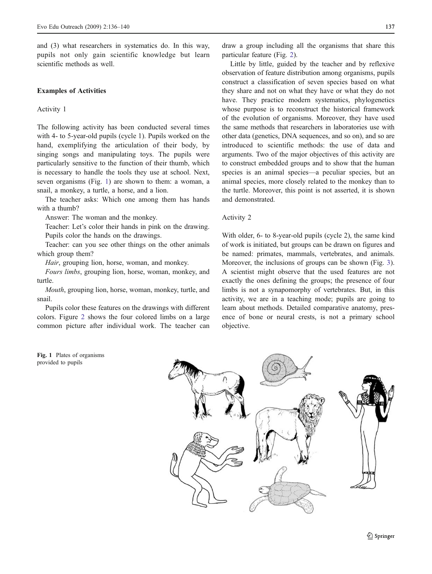and (3) what researchers in systematics do. In this way, pupils not only gain scientific knowledge but learn scientific methods as well.

#### Examples of Activities

#### Activity 1

The following activity has been conducted several times with 4- to 5-year-old pupils (cycle 1). Pupils worked on the hand, exemplifying the articulation of their body, by singing songs and manipulating toys. The pupils were particularly sensitive to the function of their thumb, which is necessary to handle the tools they use at school. Next, seven organisms (Fig. 1) are shown to them: a woman, a snail, a monkey, a turtle, a horse, and a lion.

The teacher asks: Which one among them has hands with a thumb?

Answer: The woman and the monkey.

Teacher: Let's color their hands in pink on the drawing. Pupils color the hands on the drawings.

Teacher: can you see other things on the other animals which group them?

Hair, grouping lion, horse, woman, and monkey.

Fours limbs, grouping lion, horse, woman, monkey, and turtle.

Mouth, grouping lion, horse, woman, monkey, turtle, and snail.

Pupils color these features on the drawings with different colors. Figure [2](#page-2-0) shows the four colored limbs on a large common picture after individual work. The teacher can



draw a group including all the organisms that share this particular feature (Fig. [2\)](#page-2-0).

Little by little, guided by the teacher and by reflexive observation of feature distribution among organisms, pupils construct a classification of seven species based on what they share and not on what they have or what they do not have. They practice modern systematics, phylogenetics whose purpose is to reconstruct the historical framework of the evolution of organisms. Moreover, they have used the same methods that researchers in laboratories use with other data (genetics, DNA sequences, and so on), and so are introduced to scientific methods: the use of data and arguments. Two of the major objectives of this activity are to construct embedded groups and to show that the human species is an animal species—a peculiar species, but an animal species, more closely related to the monkey than to the turtle. Moreover, this point is not asserted, it is shown and demonstrated.

#### Activity 2

With older, 6- to 8-year-old pupils (cycle 2), the same kind of work is initiated, but groups can be drawn on figures and be named: primates, mammals, vertebrates, and animals. Moreover, the inclusions of groups can be shown (Fig. [3\)](#page-2-0). A scientist might observe that the used features are not exactly the ones defining the groups; the presence of four limbs is not a synapomorphy of vertebrates. But, in this activity, we are in a teaching mode; pupils are going to learn about methods. Detailed comparative anatomy, presence of bone or neural crests, is not a primary school objective.



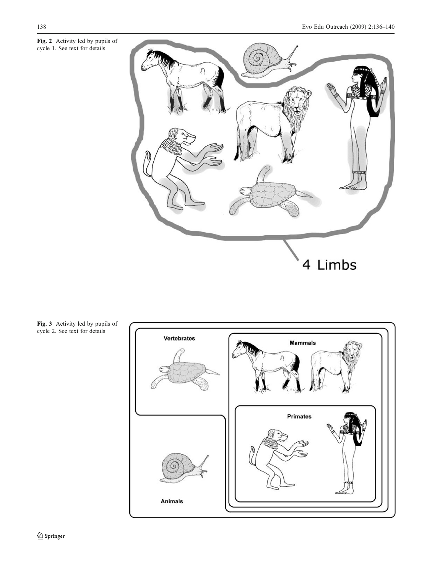<span id="page-2-0"></span>Fig. 2 Activity led by pupils of cycle 1. See text for details



Fig. 3 Activity led by pupils of cycle 2. See text for details

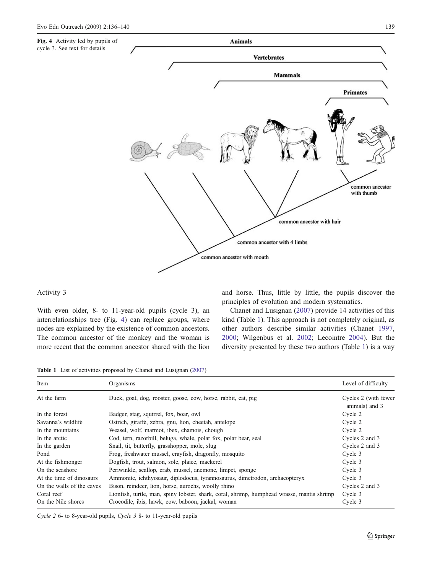

## Activity 3

With even older, 8- to 11-year-old pupils (cycle 3), an interrelationships tree (Fig. 4) can replace groups, where nodes are explained by the existence of common ancestors. The common ancestor of the monkey and the woman is more recent that the common ancestor shared with the lion and horse. Thus, little by little, the pupils discover the principles of evolution and modern systematics.

Chanet and Lusignan ([2007\)](#page-4-0) provide 14 activities of this kind (Table 1). This approach is not completely original, as other authors describe similar activities (Chanet [1997,](#page-4-0) [2000](#page-4-0); Wilgenbus et al. [2002;](#page-4-0) Lecointre [2004](#page-4-0)). But the diversity presented by these two authors (Table 1) is a way

Table 1 List of activities proposed by Chanet and Lusignan [\(2007\)](#page-4-0)

| Item                      | Organisms                                                                                  | Level of difficulty                    |
|---------------------------|--------------------------------------------------------------------------------------------|----------------------------------------|
| At the farm               |                                                                                            |                                        |
|                           | Duck, goat, dog, rooster, goose, cow, horse, rabbit, cat, pig                              | Cycles 2 (with fewer<br>animals) and 3 |
| In the forest             | Badger, stag, squirrel, fox, boar, owl                                                     | Cycle 2                                |
| Savanna's wildlife        | Ostrich, giraffe, zebra, gnu, lion, cheetah, antelope                                      | Cycle 2                                |
| In the mountains          | Weasel, wolf, marmot, ibex, chamois, chough                                                | Cycle 2                                |
| In the arctic             | Cod, tern, razorbill, beluga, whale, polar fox, polar bear, seal                           | Cycles 2 and 3                         |
| In the garden             | Snail, tit, butterfly, grasshopper, mole, slug                                             | Cycles 2 and 3                         |
| Pond                      | Frog, freshwater mussel, crayfish, dragonfly, mosquito                                     | Cycle 3                                |
| At the fishmonger         | Dogfish, trout, salmon, sole, plaice, mackerel                                             | Cycle 3                                |
| On the seashore           | Periwinkle, scallop, crab, mussel, anemone, limpet, sponge                                 | Cycle 3                                |
| At the time of dinosaurs  | Ammonite, ichthyosaur, diplodocus, tyrannosaurus, dimetrodon, archaeopteryx                | Cycle 3                                |
| On the walls of the caves | Bison, reindeer, lion, horse, aurochs, woolly rhino                                        | Cycles 2 and 3                         |
| Coral reef                | Lionfish, turtle, man, spiny lobster, shark, coral, shrimp, humphead wrasse, mantis shrimp | Cycle 3                                |
| On the Nile shores        | Crocodile, ibis, hawk, cow, baboon, jackal, woman                                          | Cycle 3                                |

Cycle 2 6- to 8-year-old pupils, Cycle 3 8- to 11-year-old pupils